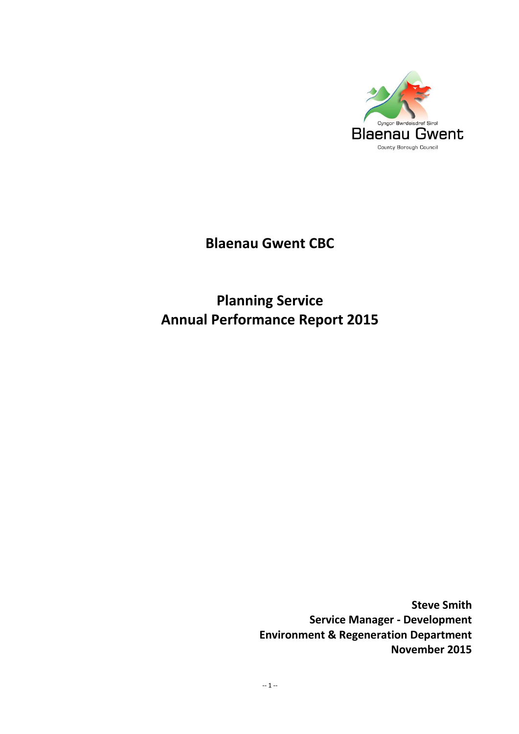

# **Blaenau Gwent CBC**

# **Planning Service Annual Performance Report 2015**

**Steve Smith Service Manager - Development Environment & Regeneration Department November 2015**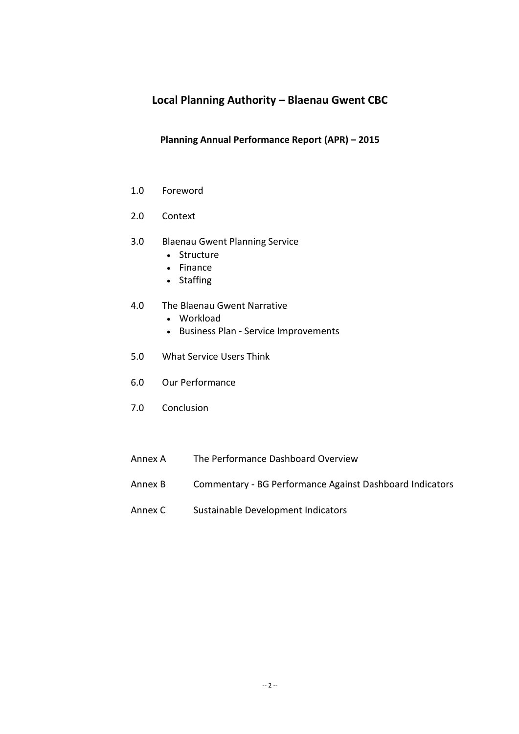# **Local Planning Authority – Blaenau Gwent CBC**

### **Planning Annual Performance Report (APR) – 2015**

- 1.0 Foreword
- 2.0 Context
- 3.0 Blaenau Gwent Planning Service
	- Structure
	- Finance
	- Staffing
- 4.0 The Blaenau Gwent Narrative
	- Workload
	- Business Plan Service Improvements
- 5.0 What Service Users Think
- 6.0 Our Performance
- 7.0 Conclusion
- Annex A The Performance Dashboard Overview
- Annex B Commentary BG Performance Against Dashboard Indicators
- Annex C Sustainable Development Indicators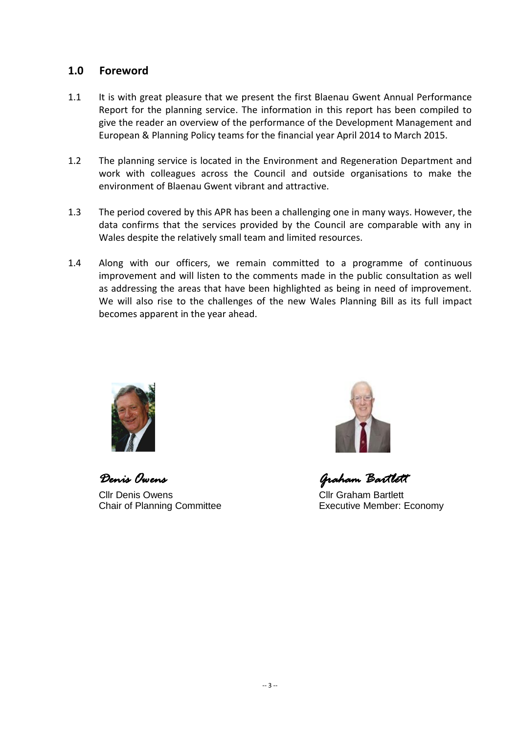## **1.0 Foreword**

- 1.1 It is with great pleasure that we present the first Blaenau Gwent Annual Performance Report for the planning service. The information in this report has been compiled to give the reader an overview of the performance of the Development Management and European & Planning Policy teams for the financial year April 2014 to March 2015.
- 1.2 The planning service is located in the Environment and Regeneration Department and work with colleagues across the Council and outside organisations to make the environment of Blaenau Gwent vibrant and attractive.
- 1.3 The period covered by this APR has been a challenging one in many ways. However, the data confirms that the services provided by the Council are comparable with any in Wales despite the relatively small team and limited resources.
- 1.4 Along with our officers, we remain committed to a programme of continuous improvement and will listen to the comments made in the public consultation as well as addressing the areas that have been highlighted as being in need of improvement. We will also rise to the challenges of the new Wales Planning Bill as its full impact becomes apparent in the year ahead.



*Denis Owens Graham Bartlett*  Cllr Denis Owens Cllr Graham Bartlett



Chair of Planning Committee **Executive Member: Economy**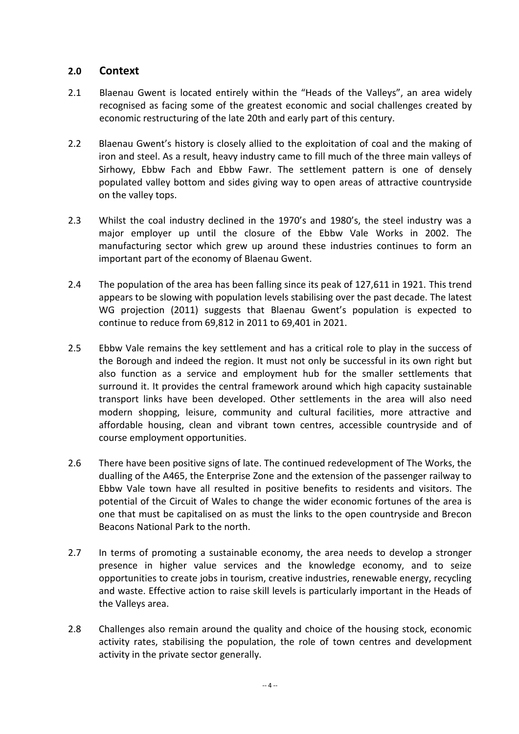## **2.0 Context**

- 2.1 Blaenau Gwent is located entirely within the "Heads of the Valleys", an area widely recognised as facing some of the greatest economic and social challenges created by economic restructuring of the late 20th and early part of this century.
- 2.2 Blaenau Gwent's history is closely allied to the exploitation of coal and the making of iron and steel. As a result, heavy industry came to fill much of the three main valleys of Sirhowy, Ebbw Fach and Ebbw Fawr. The settlement pattern is one of densely populated valley bottom and sides giving way to open areas of attractive countryside on the valley tops.
- 2.3 Whilst the coal industry declined in the 1970's and 1980's, the steel industry was a major employer up until the closure of the Ebbw Vale Works in 2002. The manufacturing sector which grew up around these industries continues to form an important part of the economy of Blaenau Gwent.
- 2.4 The population of the area has been falling since its peak of 127,611 in 1921. This trend appears to be slowing with population levels stabilising over the past decade. The latest WG projection (2011) suggests that Blaenau Gwent's population is expected to continue to reduce from 69,812 in 2011 to 69,401 in 2021.
- 2.5 Ebbw Vale remains the key settlement and has a critical role to play in the success of the Borough and indeed the region. It must not only be successful in its own right but also function as a service and employment hub for the smaller settlements that surround it. It provides the central framework around which high capacity sustainable transport links have been developed. Other settlements in the area will also need modern shopping, leisure, community and cultural facilities, more attractive and affordable housing, clean and vibrant town centres, accessible countryside and of course employment opportunities.
- 2.6 There have been positive signs of late. The continued redevelopment of The Works, the dualling of the A465, the Enterprise Zone and the extension of the passenger railway to Ebbw Vale town have all resulted in positive benefits to residents and visitors. The potential of the Circuit of Wales to change the wider economic fortunes of the area is one that must be capitalised on as must the links to the open countryside and Brecon Beacons National Park to the north.
- 2.7 In terms of promoting a sustainable economy, the area needs to develop a stronger presence in higher value services and the knowledge economy, and to seize opportunities to create jobs in tourism, creative industries, renewable energy, recycling and waste. Effective action to raise skill levels is particularly important in the Heads of the Valleys area.
- 2.8 Challenges also remain around the quality and choice of the housing stock, economic activity rates, stabilising the population, the role of town centres and development activity in the private sector generally.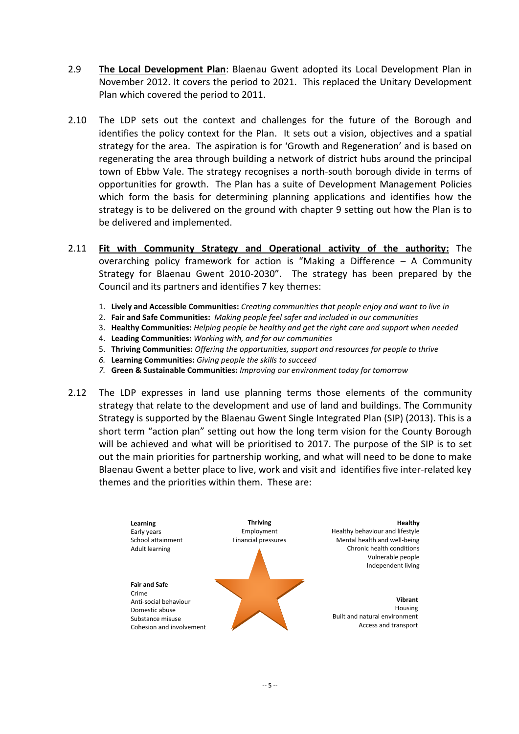- 2.9 **The Local Development Plan**: Blaenau Gwent adopted its Local Development Plan in November 2012. It covers the period to 2021. This replaced the Unitary Development Plan which covered the period to 2011.
- 2.10 The LDP sets out the context and challenges for the future of the Borough and identifies the policy context for the Plan. It sets out a vision, objectives and a spatial strategy for the area. The aspiration is for 'Growth and Regeneration' and is based on regenerating the area through building a network of district hubs around the principal town of Ebbw Vale. The strategy recognises a north-south borough divide in terms of opportunities for growth. The Plan has a suite of Development Management Policies which form the basis for determining planning applications and identifies how the strategy is to be delivered on the ground with chapter 9 setting out how the Plan is to be delivered and implemented.
- 2.11 **Fit with Community Strategy and Operational activity of the authority:** The overarching policy framework for action is "Making a Difference – A Community Strategy for Blaenau Gwent 2010-2030". The strategy has been prepared by the Council and its partners and identifies 7 key themes:
	- 1. **Lively and Accessible Communities:** *Creating communities that people enjoy and want to live in*
	- 2. **Fair and Safe Communities:** *Making people feel safer and included in our communities*
	- 3. **Healthy Communities:** *Helping people be healthy and get the right care and support when needed*
	- 4. **Leading Communities:** *Working with, and for our communities*
	- 5. **Thriving Communities:** *Offering the opportunities, support and resources for people to thrive*
	- *6.* **Learning Communities:** *Giving people the skills to succeed*
	- *7.* **Green & Sustainable Communities:** *Improving our environment today for tomorrow*
- 2.12 The LDP expresses in land use planning terms those elements of the community strategy that relate to the development and use of land and buildings. The Community Strategy is supported by the Blaenau Gwent Single Integrated Plan (SIP) (2013). This is a short term "action plan" setting out how the long term vision for the County Borough will be achieved and what will be prioritised to 2017. The purpose of the SIP is to set out the main priorities for partnership working, and what will need to be done to make Blaenau Gwent a better place to live, work and visit and identifies five inter-related key themes and the priorities within them. These are:

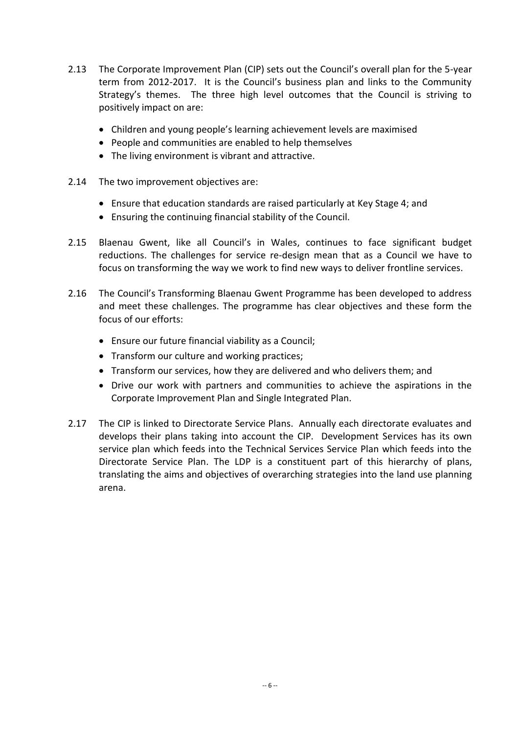- 2.13 The Corporate Improvement Plan (CIP) sets out the Council's overall plan for the 5-year term from 2012-2017. It is the Council's business plan and links to the Community Strategy's themes. The three high level outcomes that the Council is striving to positively impact on are:
	- Children and young people's learning achievement levels are maximised
	- People and communities are enabled to help themselves
	- The living environment is vibrant and attractive.
- 2.14 The two improvement objectives are:
	- Ensure that education standards are raised particularly at Key Stage 4; and
	- Ensuring the continuing financial stability of the Council.
- 2.15 Blaenau Gwent, like all Council's in Wales, continues to face significant budget reductions. The challenges for service re-design mean that as a Council we have to focus on transforming the way we work to find new ways to deliver frontline services.
- 2.16 The Council's Transforming Blaenau Gwent Programme has been developed to address and meet these challenges. The programme has clear objectives and these form the focus of our efforts:
	- Ensure our future financial viability as a Council;
	- Transform our culture and working practices;
	- Transform our services, how they are delivered and who delivers them; and
	- Drive our work with partners and communities to achieve the aspirations in the Corporate Improvement Plan and Single Integrated Plan.
- 2.17 The CIP is linked to Directorate Service Plans. Annually each directorate evaluates and develops their plans taking into account the CIP. Development Services has its own service plan which feeds into the Technical Services Service Plan which feeds into the Directorate Service Plan. The LDP is a constituent part of this hierarchy of plans, translating the aims and objectives of overarching strategies into the land use planning arena.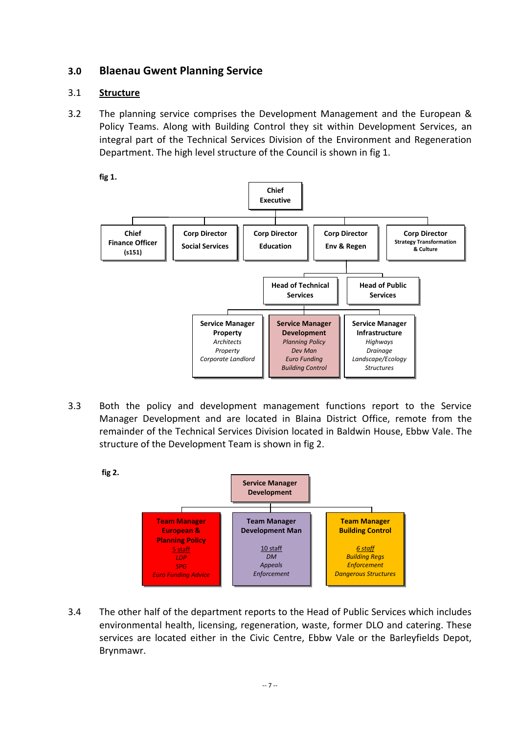# **3.0 Blaenau Gwent Planning Service**

## 3.1 **Structure**

3.2 The planning service comprises the Development Management and the European & Policy Teams. Along with Building Control they sit within Development Services, an integral part of the Technical Services Division of the Environment and Regeneration Department. The high level structure of the Council is shown in fig 1.

**fig 1.**



3.3 Both the policy and development management functions report to the Service Manager Development and are located in Blaina District Office, remote from the remainder of the Technical Services Division located in Baldwin House, Ebbw Vale. The structure of the Development Team is shown in fig 2.



3.4 The other half of the department reports to the Head of Public Services which includes environmental health, licensing, regeneration, waste, former DLO and catering. These services are located either in the Civic Centre, Ebbw Vale or the Barleyfields Depot, Brynmawr.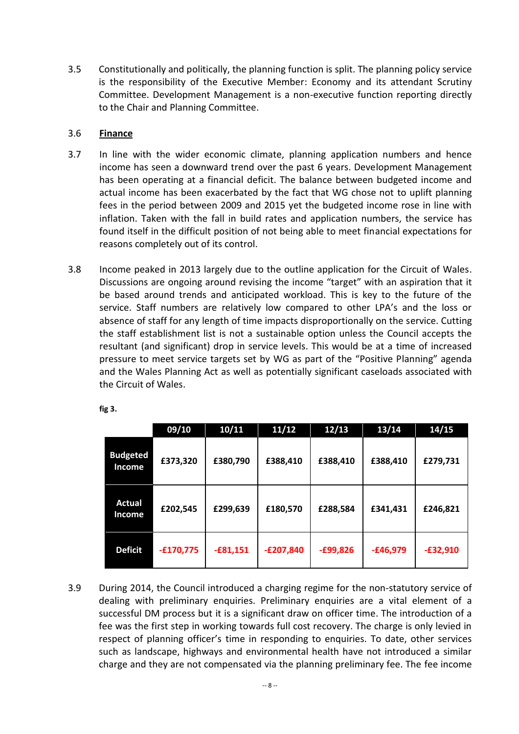3.5 Constitutionally and politically, the planning function is split. The planning policy service is the responsibility of the Executive Member: Economy and its attendant Scrutiny Committee. Development Management is a non-executive function reporting directly to the Chair and Planning Committee.

## 3.6 **Finance**

- 3.7 In line with the wider economic climate, planning application numbers and hence income has seen a downward trend over the past 6 years. Development Management has been operating at a financial deficit. The balance between budgeted income and actual income has been exacerbated by the fact that WG chose not to uplift planning fees in the period between 2009 and 2015 yet the budgeted income rose in line with inflation. Taken with the fall in build rates and application numbers, the service has found itself in the difficult position of not being able to meet financial expectations for reasons completely out of its control.
- 3.8 Income peaked in 2013 largely due to the outline application for the Circuit of Wales. Discussions are ongoing around revising the income "target" with an aspiration that it be based around trends and anticipated workload. This is key to the future of the service. Staff numbers are relatively low compared to other LPA's and the loss or absence of staff for any length of time impacts disproportionally on the service. Cutting the staff establishment list is not a sustainable option unless the Council accepts the resultant (and significant) drop in service levels. This would be at a time of increased pressure to meet service targets set by WG as part of the "Positive Planning" agenda and the Wales Planning Act as well as potentially significant caseloads associated with the Circuit of Wales.

| ×<br>×<br>۰, | v |
|--------------|---|
|--------------|---|

|                                  | 09/10       | 10/11      | 11/12       | 12/13      | 13/14      | 14/15      |
|----------------------------------|-------------|------------|-------------|------------|------------|------------|
| <b>Budgeted</b><br><b>Income</b> | £373,320    | £380,790   | £388,410    | £388,410   | £388,410   | £279,731   |
| <b>Actual</b><br><b>Income</b>   | £202,545    | £299,639   | £180,570    | £288,584   | £341,431   | £246,821   |
| <b>Deficit</b>                   | $-£170,775$ | $-£81,151$ | $-E207,840$ | $-£99,826$ | $-£46,979$ | $-£32,910$ |

3.9 During 2014, the Council introduced a charging regime for the non-statutory service of dealing with preliminary enquiries. Preliminary enquiries are a vital element of a successful DM process but it is a significant draw on officer time. The introduction of a fee was the first step in working towards full cost recovery. The charge is only levied in respect of planning officer's time in responding to enquiries. To date, other services such as landscape, highways and environmental health have not introduced a similar charge and they are not compensated via the planning preliminary fee. The fee income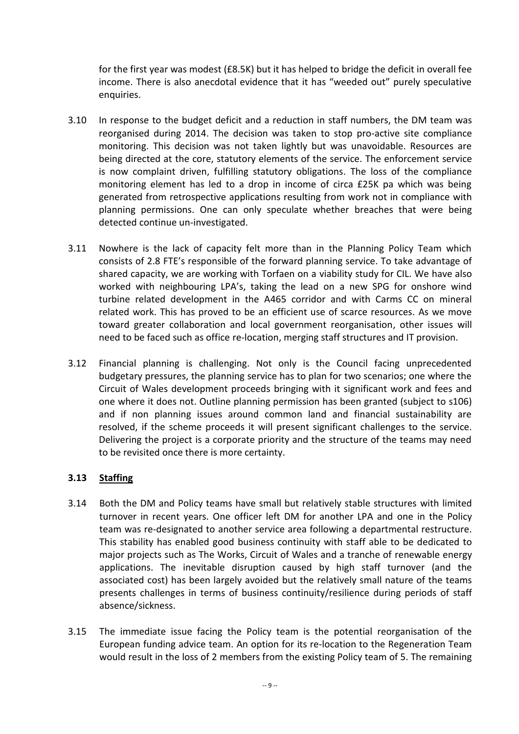for the first year was modest (£8.5K) but it has helped to bridge the deficit in overall fee income. There is also anecdotal evidence that it has "weeded out" purely speculative enquiries.

- 3.10 In response to the budget deficit and a reduction in staff numbers, the DM team was reorganised during 2014. The decision was taken to stop pro-active site compliance monitoring. This decision was not taken lightly but was unavoidable. Resources are being directed at the core, statutory elements of the service. The enforcement service is now complaint driven, fulfilling statutory obligations. The loss of the compliance monitoring element has led to a drop in income of circa £25K pa which was being generated from retrospective applications resulting from work not in compliance with planning permissions. One can only speculate whether breaches that were being detected continue un-investigated.
- 3.11 Nowhere is the lack of capacity felt more than in the Planning Policy Team which consists of 2.8 FTE's responsible of the forward planning service. To take advantage of shared capacity, we are working with Torfaen on a viability study for CIL. We have also worked with neighbouring LPA's, taking the lead on a new SPG for onshore wind turbine related development in the A465 corridor and with Carms CC on mineral related work. This has proved to be an efficient use of scarce resources. As we move toward greater collaboration and local government reorganisation, other issues will need to be faced such as office re-location, merging staff structures and IT provision.
- 3.12 Financial planning is challenging. Not only is the Council facing unprecedented budgetary pressures, the planning service has to plan for two scenarios; one where the Circuit of Wales development proceeds bringing with it significant work and fees and one where it does not. Outline planning permission has been granted (subject to s106) and if non planning issues around common land and financial sustainability are resolved, if the scheme proceeds it will present significant challenges to the service. Delivering the project is a corporate priority and the structure of the teams may need to be revisited once there is more certainty.

# **3.13 Staffing**

- 3.14 Both the DM and Policy teams have small but relatively stable structures with limited turnover in recent years. One officer left DM for another LPA and one in the Policy team was re-designated to another service area following a departmental restructure. This stability has enabled good business continuity with staff able to be dedicated to major projects such as The Works, Circuit of Wales and a tranche of renewable energy applications. The inevitable disruption caused by high staff turnover (and the associated cost) has been largely avoided but the relatively small nature of the teams presents challenges in terms of business continuity/resilience during periods of staff absence/sickness.
- 3.15 The immediate issue facing the Policy team is the potential reorganisation of the European funding advice team. An option for its re-location to the Regeneration Team would result in the loss of 2 members from the existing Policy team of 5. The remaining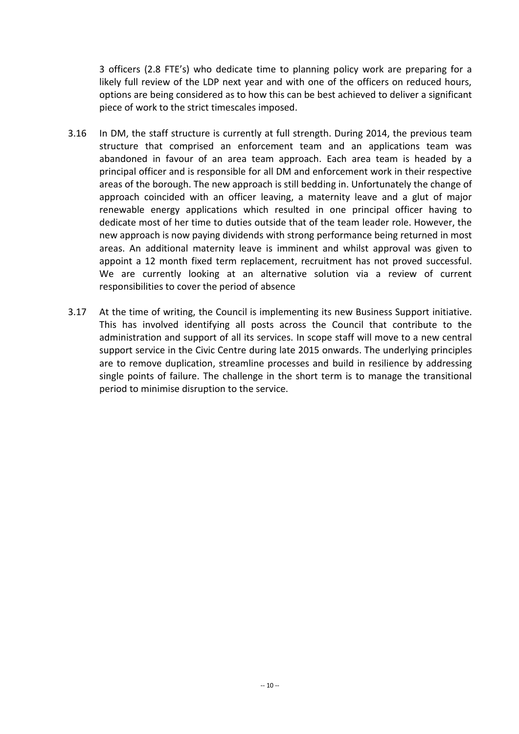3 officers (2.8 FTE's) who dedicate time to planning policy work are preparing for a likely full review of the LDP next year and with one of the officers on reduced hours, options are being considered as to how this can be best achieved to deliver a significant piece of work to the strict timescales imposed.

- 3.16 In DM, the staff structure is currently at full strength. During 2014, the previous team structure that comprised an enforcement team and an applications team was abandoned in favour of an area team approach. Each area team is headed by a principal officer and is responsible for all DM and enforcement work in their respective areas of the borough. The new approach is still bedding in. Unfortunately the change of approach coincided with an officer leaving, a maternity leave and a glut of major renewable energy applications which resulted in one principal officer having to dedicate most of her time to duties outside that of the team leader role. However, the new approach is now paying dividends with strong performance being returned in most areas. An additional maternity leave is imminent and whilst approval was given to appoint a 12 month fixed term replacement, recruitment has not proved successful. We are currently looking at an alternative solution via a review of current responsibilities to cover the period of absence
- 3.17 At the time of writing, the Council is implementing its new Business Support initiative. This has involved identifying all posts across the Council that contribute to the administration and support of all its services. In scope staff will move to a new central support service in the Civic Centre during late 2015 onwards. The underlying principles are to remove duplication, streamline processes and build in resilience by addressing single points of failure. The challenge in the short term is to manage the transitional period to minimise disruption to the service.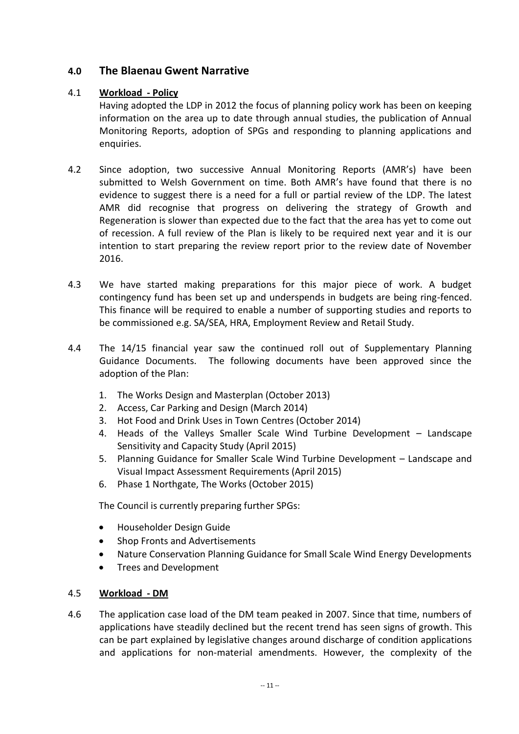# **4.0 The Blaenau Gwent Narrative**

### 4.1 **Workload - Policy**

Having adopted the LDP in 2012 the focus of planning policy work has been on keeping information on the area up to date through annual studies, the publication of Annual Monitoring Reports, adoption of SPGs and responding to planning applications and enquiries.

- 4.2 Since adoption, two successive Annual Monitoring Reports (AMR's) have been submitted to Welsh Government on time. Both AMR's have found that there is no evidence to suggest there is a need for a full or partial review of the LDP. The latest AMR did recognise that progress on delivering the strategy of Growth and Regeneration is slower than expected due to the fact that the area has yet to come out of recession. A full review of the Plan is likely to be required next year and it is our intention to start preparing the review report prior to the review date of November 2016.
- 4.3 We have started making preparations for this major piece of work. A budget contingency fund has been set up and underspends in budgets are being ring-fenced. This finance will be required to enable a number of supporting studies and reports to be commissioned e.g. SA/SEA, HRA, Employment Review and Retail Study.
- 4.4 The 14/15 financial year saw the continued roll out of Supplementary Planning Guidance Documents. The following documents have been approved since the adoption of the Plan:
	- 1. The Works Design and Masterplan (October 2013)
	- 2. Access, Car Parking and Design (March 2014)
	- 3. Hot Food and Drink Uses in Town Centres (October 2014)
	- 4. Heads of the Valleys Smaller Scale Wind Turbine Development Landscape Sensitivity and Capacity Study (April 2015)
	- 5. Planning Guidance for Smaller Scale Wind Turbine Development Landscape and Visual Impact Assessment Requirements (April 2015)
	- 6. Phase 1 Northgate, The Works (October 2015)

The Council is currently preparing further SPGs:

- Householder Design Guide
- Shop Fronts and Advertisements
- Nature Conservation Planning Guidance for Small Scale Wind Energy Developments
- Trees and Development

#### 4.5 **Workload - DM**

4.6 The application case load of the DM team peaked in 2007. Since that time, numbers of applications have steadily declined but the recent trend has seen signs of growth. This can be part explained by legislative changes around discharge of condition applications and applications for non-material amendments. However, the complexity of the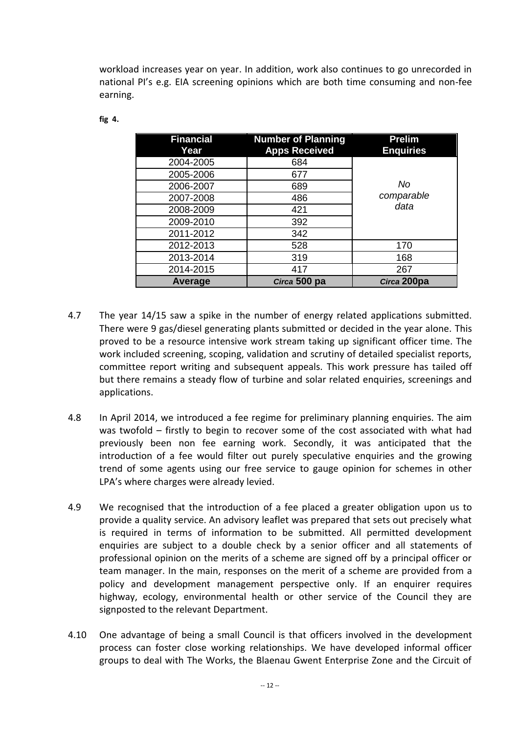workload increases year on year. In addition, work also continues to go unrecorded in national PI's e.g. EIA screening opinions which are both time consuming and non-fee earning.

| <b>Financial</b><br>Year | <b>Number of Planning</b><br><b>Apps Received</b> | <b>Prelim</b><br><b>Enquiries</b> |
|--------------------------|---------------------------------------------------|-----------------------------------|
| 2004-2005                | 684                                               |                                   |
| 2005-2006                | 677                                               |                                   |
| 2006-2007                | 689                                               | No                                |
| 2007-2008                | 486                                               | comparable                        |
| 2008-2009                | 421                                               | data                              |
| 2009-2010                | 392                                               |                                   |
| 2011-2012                | 342                                               |                                   |
| 2012-2013                | 528                                               | 170                               |
| 2013-2014                | 319                                               | 168                               |
| 2014-2015                | 417                                               | 267                               |
| Average                  | Circa 500 pa                                      | Circa 200pa                       |

#### **fig 4.**

- 4.7 The year 14/15 saw a spike in the number of energy related applications submitted. There were 9 gas/diesel generating plants submitted or decided in the year alone. This proved to be a resource intensive work stream taking up significant officer time. The work included screening, scoping, validation and scrutiny of detailed specialist reports, committee report writing and subsequent appeals. This work pressure has tailed off but there remains a steady flow of turbine and solar related enquiries, screenings and applications.
- 4.8 In April 2014, we introduced a fee regime for preliminary planning enquiries. The aim was twofold – firstly to begin to recover some of the cost associated with what had previously been non fee earning work. Secondly, it was anticipated that the introduction of a fee would filter out purely speculative enquiries and the growing trend of some agents using our free service to gauge opinion for schemes in other LPA's where charges were already levied.
- 4.9 We recognised that the introduction of a fee placed a greater obligation upon us to provide a quality service. An advisory leaflet was prepared that sets out precisely what is required in terms of information to be submitted. All permitted development enquiries are subject to a double check by a senior officer and all statements of professional opinion on the merits of a scheme are signed off by a principal officer or team manager. In the main, responses on the merit of a scheme are provided from a policy and development management perspective only. If an enquirer requires highway, ecology, environmental health or other service of the Council they are signposted to the relevant Department.
- 4.10 One advantage of being a small Council is that officers involved in the development process can foster close working relationships. We have developed informal officer groups to deal with The Works, the Blaenau Gwent Enterprise Zone and the Circuit of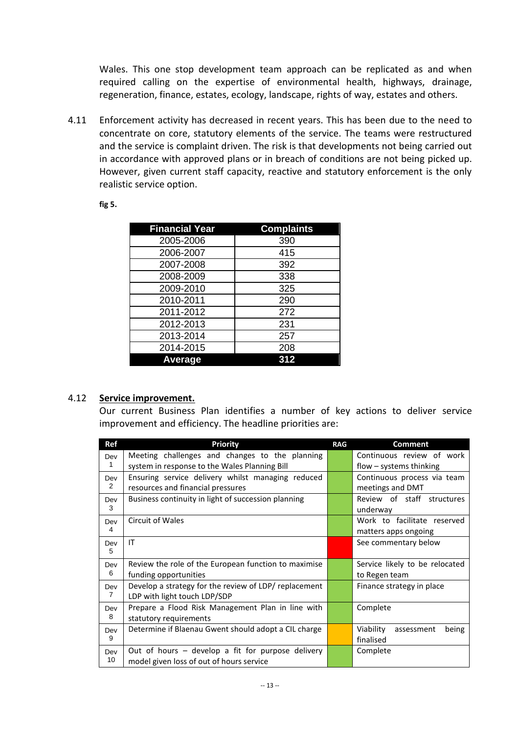Wales. This one stop development team approach can be replicated as and when required calling on the expertise of environmental health, highways, drainage, regeneration, finance, estates, ecology, landscape, rights of way, estates and others.

4.11 Enforcement activity has decreased in recent years. This has been due to the need to concentrate on core, statutory elements of the service. The teams were restructured and the service is complaint driven. The risk is that developments not being carried out in accordance with approved plans or in breach of conditions are not being picked up. However, given current staff capacity, reactive and statutory enforcement is the only realistic service option.

#### **fig 5.**

| <b>Financial Year</b> | <b>Complaints</b> |
|-----------------------|-------------------|
| 2005-2006             | 390               |
| 2006-2007             | 415               |
| 2007-2008             | 392               |
| 2008-2009             | 338               |
| 2009-2010             | 325               |
| 2010-2011             | 290               |
| 2011-2012             | 272               |
| 2012-2013             | 231               |
| 2013-2014             | 257               |
| 2014-2015             | 208               |
| Average               | 312               |

#### 4.12 **Service improvement.**

Our current Business Plan identifies a number of key actions to deliver service improvement and efficiency. The headline priorities are:

| <b>Ref</b>            | <b>Priority</b>                                                                                 | <b>RAG</b> | <b>Comment</b>                                         |
|-----------------------|-------------------------------------------------------------------------------------------------|------------|--------------------------------------------------------|
| Dev<br>1              | Meeting challenges and changes to the planning<br>system in response to the Wales Planning Bill |            | Continuous review of work<br>$flow - systems$ thinking |
| Dev<br>2              | Ensuring service delivery whilst managing reduced<br>resources and financial pressures          |            | Continuous process via team<br>meetings and DMT        |
| Dev<br>3              | Business continuity in light of succession planning                                             |            | Review of staff structures<br>underway                 |
| Dev<br>4              | Circuit of Wales                                                                                |            | Work to facilitate reserved<br>matters apps ongoing    |
| Dev<br>5              | IT                                                                                              |            | See commentary below                                   |
| Dev<br>6              | Review the role of the European function to maximise<br>funding opportunities                   |            | Service likely to be relocated<br>to Regen team        |
| Dev<br>$\overline{7}$ | Develop a strategy for the review of LDP/ replacement<br>LDP with light touch LDP/SDP           |            | Finance strategy in place                              |
| Dev<br>8              | Prepare a Flood Risk Management Plan in line with<br>statutory requirements                     |            | Complete                                               |
| Dev<br>9              | Determine if Blaenau Gwent should adopt a CIL charge                                            |            | Viability<br>being<br>assessment<br>finalised          |
| Dev<br>10             | Out of hours - develop a fit for purpose delivery<br>model given loss of out of hours service   |            | Complete                                               |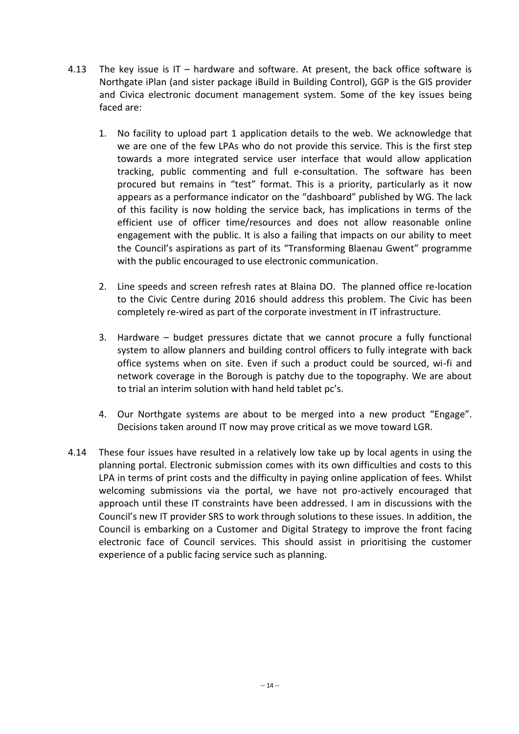- 4.13 The key issue is IT hardware and software. At present, the back office software is Northgate iPlan (and sister package iBuild in Building Control), GGP is the GIS provider and Civica electronic document management system. Some of the key issues being faced are:
	- 1. No facility to upload part 1 application details to the web. We acknowledge that we are one of the few LPAs who do not provide this service. This is the first step towards a more integrated service user interface that would allow application tracking, public commenting and full e-consultation. The software has been procured but remains in "test" format. This is a priority, particularly as it now appears as a performance indicator on the "dashboard" published by WG. The lack of this facility is now holding the service back, has implications in terms of the efficient use of officer time/resources and does not allow reasonable online engagement with the public. It is also a failing that impacts on our ability to meet the Council's aspirations as part of its "Transforming Blaenau Gwent" programme with the public encouraged to use electronic communication.
	- 2. Line speeds and screen refresh rates at Blaina DO. The planned office re-location to the Civic Centre during 2016 should address this problem. The Civic has been completely re-wired as part of the corporate investment in IT infrastructure.
	- 3. Hardware budget pressures dictate that we cannot procure a fully functional system to allow planners and building control officers to fully integrate with back office systems when on site. Even if such a product could be sourced, wi-fi and network coverage in the Borough is patchy due to the topography. We are about to trial an interim solution with hand held tablet pc's.
	- 4. Our Northgate systems are about to be merged into a new product "Engage". Decisions taken around IT now may prove critical as we move toward LGR.
- 4.14 These four issues have resulted in a relatively low take up by local agents in using the planning portal. Electronic submission comes with its own difficulties and costs to this LPA in terms of print costs and the difficulty in paying online application of fees. Whilst welcoming submissions via the portal, we have not pro-actively encouraged that approach until these IT constraints have been addressed. I am in discussions with the Council's new IT provider SRS to work through solutions to these issues. In addition, the Council is embarking on a Customer and Digital Strategy to improve the front facing electronic face of Council services. This should assist in prioritising the customer experience of a public facing service such as planning.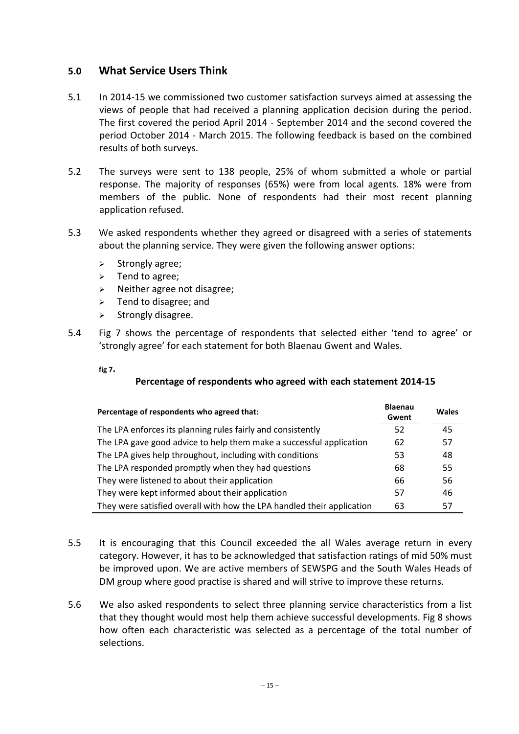# **5.0 What Service Users Think**

- 5.1 In 2014-15 we commissioned two customer satisfaction surveys aimed at assessing the views of people that had received a planning application decision during the period. The first covered the period April 2014 - September 2014 and the second covered the period October 2014 - March 2015. The following feedback is based on the combined results of both surveys.
- 5.2 The surveys were sent to 138 people, 25% of whom submitted a whole or partial response. The majority of responses (65%) were from local agents. 18% were from members of the public. None of respondents had their most recent planning application refused.
- 5.3 We asked respondents whether they agreed or disagreed with a series of statements about the planning service. They were given the following answer options:
	- $\triangleright$  Strongly agree;
	- $\triangleright$  Tend to agree;
	- $\triangleright$  Neither agree not disagree;
	- $\triangleright$  Tend to disagree; and
	- $\triangleright$  Strongly disagree.
- 5.4 Fig 7 shows the percentage of respondents that selected either 'tend to agree' or 'strongly agree' for each statement for both Blaenau Gwent and Wales.

**fig 7.** 

## **Percentage of respondents who agreed with each statement 2014-15**

| Percentage of respondents who agreed that:                             | <b>Blaenau</b><br>Gwent | Wales |
|------------------------------------------------------------------------|-------------------------|-------|
| The LPA enforces its planning rules fairly and consistently            | 52                      | 45    |
| The LPA gave good advice to help them make a successful application    | 62                      | 57    |
| The LPA gives help throughout, including with conditions               | 53                      | 48    |
| The LPA responded promptly when they had questions                     | 68                      | 55    |
| They were listened to about their application                          | 66                      | 56    |
| They were kept informed about their application                        | 57                      | 46    |
| They were satisfied overall with how the LPA handled their application | 63                      | 57    |

- 5.5 It is encouraging that this Council exceeded the all Wales average return in every category. However, it has to be acknowledged that satisfaction ratings of mid 50% must be improved upon. We are active members of SEWSPG and the South Wales Heads of DM group where good practise is shared and will strive to improve these returns.
- 5.6 We also asked respondents to select three planning service characteristics from a list that they thought would most help them achieve successful developments. Fig 8 shows how often each characteristic was selected as a percentage of the total number of selections.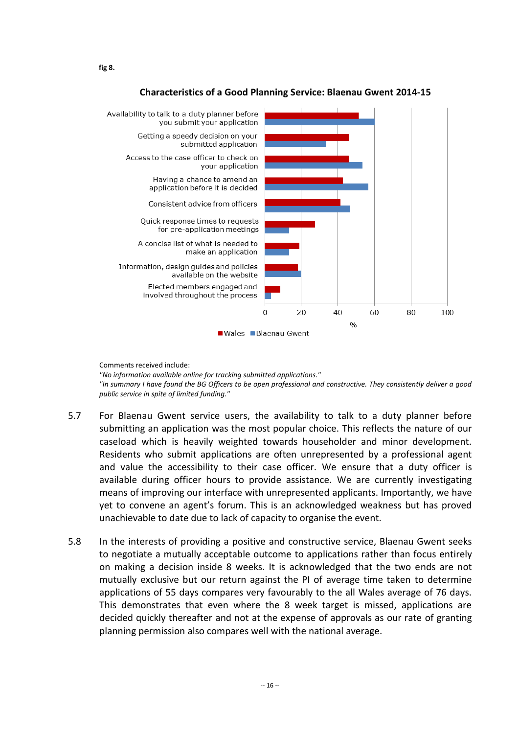



Comments received include:

*"No information available online for tracking submitted applications." "In summary I have found the BG Officers to be open professional and constructive. They consistently deliver a good public service in spite of limited funding."*

- 5.7 For Blaenau Gwent service users, the availability to talk to a duty planner before submitting an application was the most popular choice. This reflects the nature of our caseload which is heavily weighted towards householder and minor development. Residents who submit applications are often unrepresented by a professional agent and value the accessibility to their case officer. We ensure that a duty officer is available during officer hours to provide assistance. We are currently investigating means of improving our interface with unrepresented applicants. Importantly, we have yet to convene an agent's forum. This is an acknowledged weakness but has proved unachievable to date due to lack of capacity to organise the event.
- 5.8 In the interests of providing a positive and constructive service, Blaenau Gwent seeks to negotiate a mutually acceptable outcome to applications rather than focus entirely on making a decision inside 8 weeks. It is acknowledged that the two ends are not mutually exclusive but our return against the PI of average time taken to determine applications of 55 days compares very favourably to the all Wales average of 76 days. This demonstrates that even where the 8 week target is missed, applications are decided quickly thereafter and not at the expense of approvals as our rate of granting planning permission also compares well with the national average.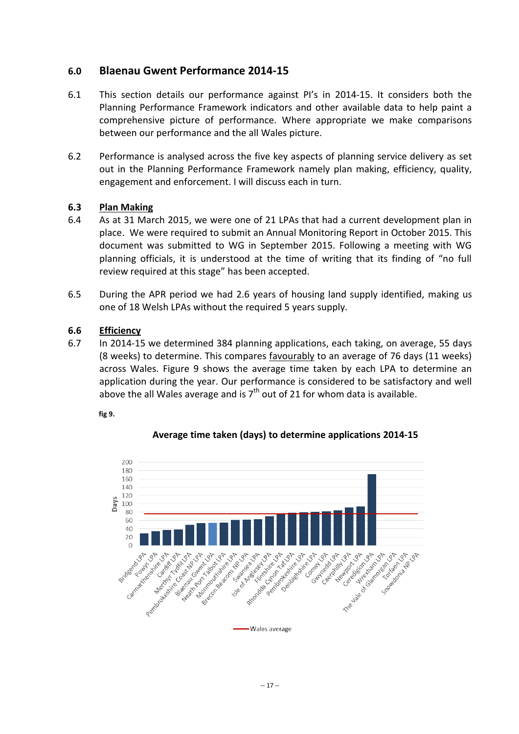# **6.0 Blaenau Gwent Performance 2014-15**

- 6.1 This section details our performance against PI's in 2014-15. It considers both the Planning Performance Framework indicators and other available data to help paint a comprehensive picture of performance. Where appropriate we make comparisons between our performance and the all Wales picture.
- 6.2 Performance is analysed across the five key aspects of planning service delivery as set out in the Planning Performance Framework namely plan making, efficiency, quality, engagement and enforcement. I will discuss each in turn.

## **6.3 Plan Making**

- 6.4 As at 31 March 2015, we were one of 21 LPAs that had a current development plan in place. We were required to submit an Annual Monitoring Report in October 2015. This document was submitted to WG in September 2015. Following a meeting with WG planning officials, it is understood at the time of writing that its finding of "no full review required at this stage" has been accepted.
- 6.5 During the APR period we had 2.6 years of housing land supply identified, making us one of 18 Welsh LPAs without the required 5 years supply.

#### **6.6 Efficiency**

6.7 In 2014-15 we determined 384 planning applications, each taking, on average, 55 days (8 weeks) to determine. This compares favourably to an average of 76 days (11 weeks) across Wales. Figure 9 shows the average time taken by each LPA to determine an application during the year. Our performance is considered to be satisfactory and well above the all Wales average and is  $7<sup>th</sup>$  out of 21 for whom data is available.

**fig 9.**



**Average time taken (days) to determine applications 2014-15**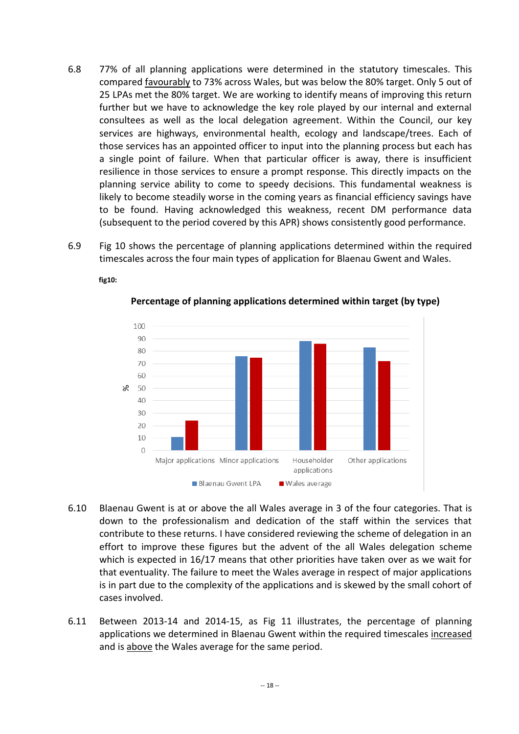- 6.8 77% of all planning applications were determined in the statutory timescales. This compared favourably to 73% across Wales, but was below the 80% target. Only 5 out of 25 LPAs met the 80% target. We are working to identify means of improving this return further but we have to acknowledge the key role played by our internal and external consultees as well as the local delegation agreement. Within the Council, our key services are highways, environmental health, ecology and landscape/trees. Each of those services has an appointed officer to input into the planning process but each has a single point of failure. When that particular officer is away, there is insufficient resilience in those services to ensure a prompt response. This directly impacts on the planning service ability to come to speedy decisions. This fundamental weakness is likely to become steadily worse in the coming years as financial efficiency savings have to be found. Having acknowledged this weakness, recent DM performance data (subsequent to the period covered by this APR) shows consistently good performance.
- 6.9 Fig 10 shows the percentage of planning applications determined within the required timescales across the four main types of application for Blaenau Gwent and Wales.

**fig10:** 



**Percentage of planning applications determined within target (by type)**

- 6.10 Blaenau Gwent is at or above the all Wales average in 3 of the four categories. That is down to the professionalism and dedication of the staff within the services that contribute to these returns. I have considered reviewing the scheme of delegation in an effort to improve these figures but the advent of the all Wales delegation scheme which is expected in 16/17 means that other priorities have taken over as we wait for that eventuality. The failure to meet the Wales average in respect of major applications is in part due to the complexity of the applications and is skewed by the small cohort of cases involved.
- 6.11 Between 2013-14 and 2014-15, as Fig 11 illustrates, the percentage of planning applications we determined in Blaenau Gwent within the required timescales increased and is above the Wales average for the same period.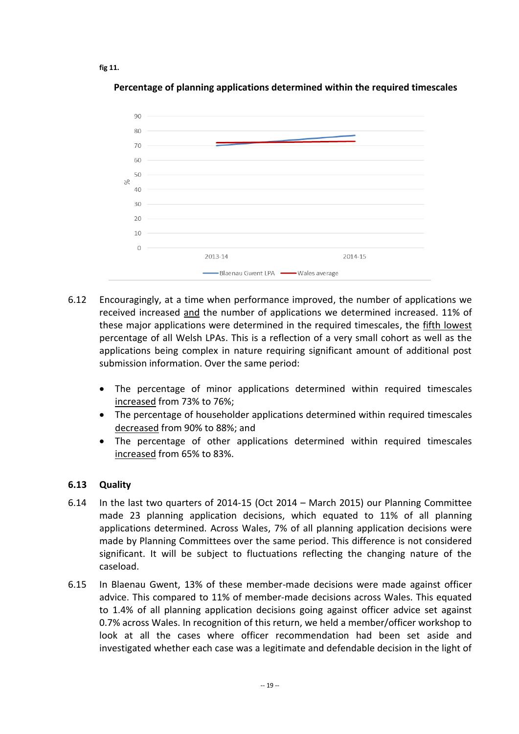**fig 11.**



**Percentage of planning applications determined within the required timescales**

- 6.12 Encouragingly, at a time when performance improved, the number of applications we received increased and the number of applications we determined increased. 11% of these major applications were determined in the required timescales, the fifth lowest percentage of all Welsh LPAs. This is a reflection of a very small cohort as well as the applications being complex in nature requiring significant amount of additional post submission information. Over the same period:
	- The percentage of minor applications determined within required timescales increased from 73% to 76%;
	- The percentage of householder applications determined within required timescales decreased from 90% to 88%; and
	- The percentage of other applications determined within required timescales increased from 65% to 83%.

## **6.13 Quality**

- 6.14 In the last two quarters of 2014-15 (Oct 2014 March 2015) our Planning Committee made 23 planning application decisions, which equated to 11% of all planning applications determined. Across Wales, 7% of all planning application decisions were made by Planning Committees over the same period. This difference is not considered significant. It will be subject to fluctuations reflecting the changing nature of the caseload.
- 6.15 In Blaenau Gwent, 13% of these member-made decisions were made against officer advice. This compared to 11% of member-made decisions across Wales. This equated to 1.4% of all planning application decisions going against officer advice set against 0.7% across Wales. In recognition of this return, we held a member/officer workshop to look at all the cases where officer recommendation had been set aside and investigated whether each case was a legitimate and defendable decision in the light of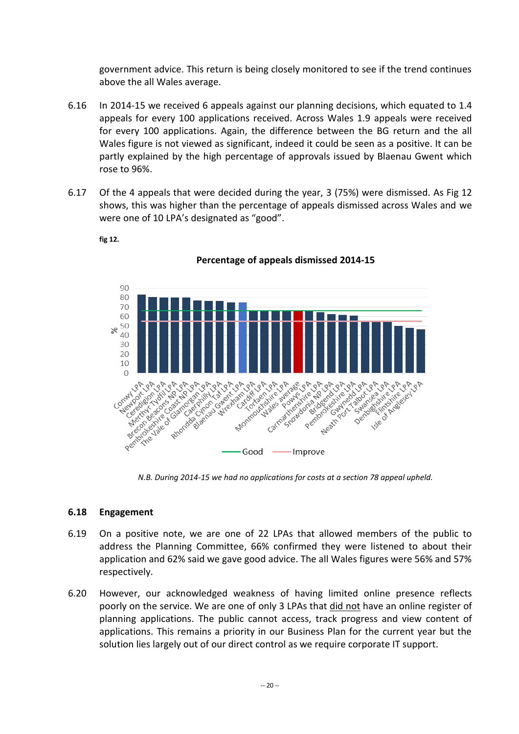government advice. This return is being closely monitored to see if the trend continues above the all Wales average.

- 6.16 In 2014-15 we received 6 appeals against our planning decisions, which equated to 1.4 appeals for every 100 applications received. Across Wales 1.9 appeals were received for every 100 applications. Again, the difference between the BG return and the all Wales figure is not viewed as significant, indeed it could be seen as a positive. It can be partly explained by the high percentage of approvals issued by Blaenau Gwent which rose to 96%.
- 6.17 Of the 4 appeals that were decided during the year, 3 (75%) were dismissed. As Fig 12 shows, this was higher than the percentage of appeals dismissed across Wales and we were one of 10 LPA's designated as "good".



**fig 12.**

**Percentage of appeals dismissed 2014-15**

*N.B. During 2014-15 we had no applications for costs at a section 78 appeal upheld.*

# **6.18 Engagement**

- 6.19 On a positive note, we are one of 22 LPAs that allowed members of the public to address the Planning Committee, 66% confirmed they were listened to about their application and 62% said we gave good advice. The all Wales figures were 56% and 57% respectively.
- 6.20 However, our acknowledged weakness of having limited online presence reflects poorly on the service. We are one of only 3 LPAs that did not have an online register of planning applications. The public cannot access, track progress and view content of applications. This remains a priority in our Business Plan for the current year but the solution lies largely out of our direct control as we require corporate IT support.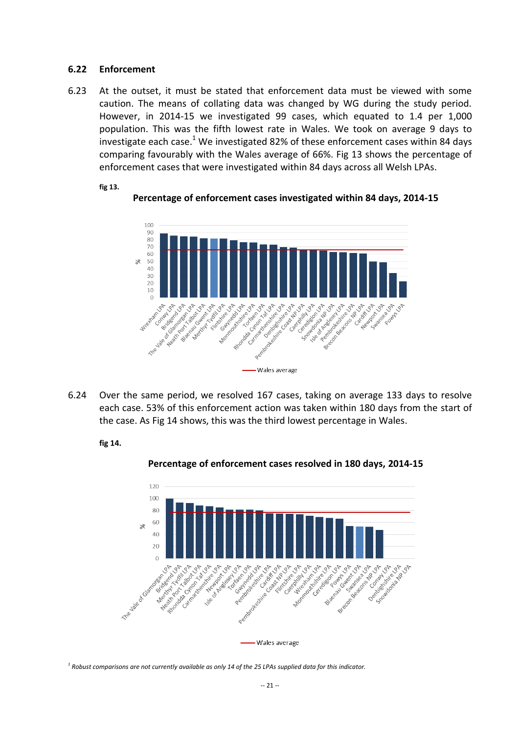#### **6.22 Enforcement**

**fig 13.**

6.23 At the outset, it must be stated that enforcement data must be viewed with some caution. The means of collating data was changed by WG during the study period. However, in 2014-15 we investigated 99 cases, which equated to 1.4 per 1,000 population. This was the fifth lowest rate in Wales. We took on average 9 days to investigate each case.<sup>1</sup> We investigated 82% of these enforcement cases within 84 days comparing favourably with the Wales average of 66%. Fig 13 shows the percentage of enforcement cases that were investigated within 84 days across all Welsh LPAs.



**Percentage of enforcement cases investigated within 84 days, 2014-15**

6.24 Over the same period, we resolved 167 cases, taking on average 133 days to resolve each case. 53% of this enforcement action was taken within 180 days from the start of the case. As Fig 14 shows, this was the third lowest percentage in Wales.

#### **fig 14.**



**Percentage of enforcement cases resolved in 180 days, 2014-15**

*1 Robust comparisons are not currently available as only 14 of the 25 LPAs supplied data for this indicator.*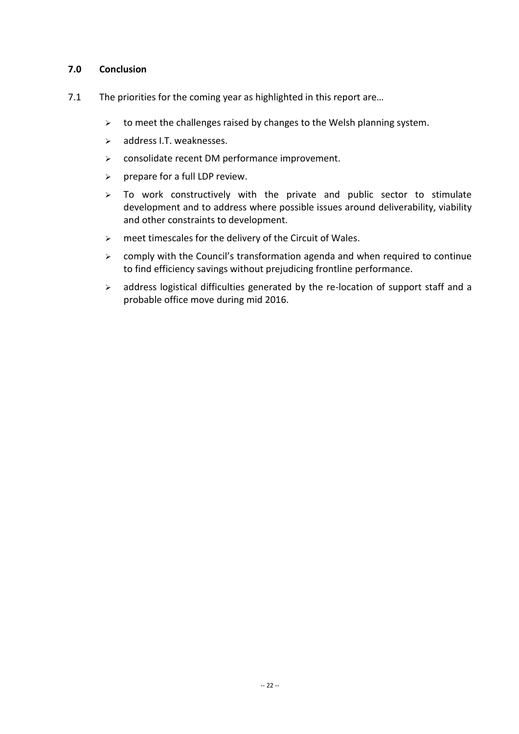### **7.0 Conclusion**

- 7.1 The priorities for the coming year as highlighted in this report are...
	- $\triangleright$  to meet the challenges raised by changes to the Welsh planning system.
	- $\triangleright$  address I.T. weaknesses.
	- $\triangleright$  consolidate recent DM performance improvement.
	- $\triangleright$  prepare for a full LDP review.
	- $\geq$  To work constructively with the private and public sector to stimulate development and to address where possible issues around deliverability, viability and other constraints to development.
	- $\triangleright$  meet timescales for the delivery of the Circuit of Wales.
	- $\geq$  comply with the Council's transformation agenda and when required to continue to find efficiency savings without prejudicing frontline performance.
	- $\triangleright$  address logistical difficulties generated by the re-location of support staff and a probable office move during mid 2016.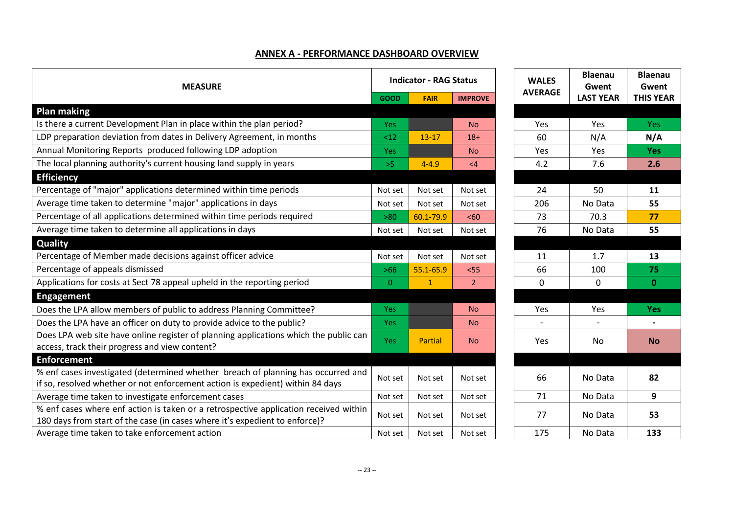#### **ANNEX A - PERFORMANCE DASHBOARD OVERVIEW**

| <b>MEASURE</b>                                                                                                                                                      |            | <b>Indicator - RAG Status</b> |                |  | <b>WALES</b>   | <b>Blaenau</b><br>Gwent | <b>Blaen</b><br>Gwer |
|---------------------------------------------------------------------------------------------------------------------------------------------------------------------|------------|-------------------------------|----------------|--|----------------|-------------------------|----------------------|
|                                                                                                                                                                     |            | <b>FAIR</b>                   | <b>IMPROVE</b> |  | <b>AVERAGE</b> | <b>LAST YEAR</b>        | <b>THIS YE</b>       |
| <b>Plan making</b>                                                                                                                                                  |            |                               |                |  |                |                         |                      |
| Is there a current Development Plan in place within the plan period?                                                                                                | <b>Yes</b> |                               | <b>No</b>      |  | Yes            | Yes                     | Yes                  |
| LDP preparation deviation from dates in Delivery Agreement, in months                                                                                               | <12        | $13 - 17$                     | $18+$          |  | 60             | N/A                     | N/A                  |
| Annual Monitoring Reports produced following LDP adoption                                                                                                           | <b>Yes</b> |                               | <b>No</b>      |  | Yes            | Yes                     | <b>Yes</b>           |
| The local planning authority's current housing land supply in years                                                                                                 | >5         | $4 - 4.9$                     | $\leq 4$       |  | 4.2            | 7.6                     | 2.6                  |
| <b>Efficiency</b>                                                                                                                                                   |            |                               |                |  |                |                         |                      |
| Percentage of "major" applications determined within time periods                                                                                                   | Not set    | Not set                       | Not set        |  | 24             | 50                      | 11                   |
| Average time taken to determine "major" applications in days                                                                                                        | Not set    | Not set                       | Not set        |  | 206            | No Data                 | 55                   |
| Percentage of all applications determined within time periods required                                                                                              | >80        | 60.1-79.9                     | <60            |  | 73             | 70.3                    | 77                   |
| Average time taken to determine all applications in days                                                                                                            |            | Not set                       | Not set        |  | 76             | No Data                 | 55                   |
| Quality                                                                                                                                                             |            |                               |                |  |                |                         |                      |
| Percentage of Member made decisions against officer advice                                                                                                          |            | Not set                       | Not set        |  | 11             | 1.7                     | 13                   |
| Percentage of appeals dismissed                                                                                                                                     |            | 55.1-65.9                     | $<$ 55         |  | 66             | 100                     | 75                   |
| Applications for costs at Sect 78 appeal upheld in the reporting period                                                                                             |            | $\mathbf{1}$                  | $\overline{2}$ |  | $\Omega$       | $\mathbf{0}$            | $\mathbf{0}$         |
| <b>Engagement</b>                                                                                                                                                   |            |                               |                |  |                |                         |                      |
| Does the LPA allow members of public to address Planning Committee?                                                                                                 | <b>Yes</b> |                               | <b>No</b>      |  | Yes            | Yes                     | <b>Yes</b>           |
| Does the LPA have an officer on duty to provide advice to the public?                                                                                               | <b>Yes</b> |                               | <b>No</b>      |  |                |                         |                      |
| Does LPA web site have online register of planning applications which the public can<br>access, track their progress and view content?                              |            | Partial                       | <b>No</b>      |  | Yes            | No.                     | <b>No</b>            |
| <b>Enforcement</b>                                                                                                                                                  |            |                               |                |  |                |                         |                      |
| % enf cases investigated (determined whether breach of planning has occurred and<br>if so, resolved whether or not enforcement action is expedient) within 84 days  | Not set    | Not set                       | Not set        |  | 66             | No Data                 | 82                   |
| Average time taken to investigate enforcement cases                                                                                                                 | Not set    | Not set                       | Not set        |  | 71             | No Data                 | 9                    |
| % enf cases where enf action is taken or a retrospective application received within<br>180 days from start of the case (in cases where it's expedient to enforce)? | Not set    | Not set                       | Not set        |  | 77             | No Data                 | 53                   |
| Average time taken to take enforcement action                                                                                                                       | Not set    | Not set                       | Not set        |  | 175            | No Data                 | 133                  |

| <b>GOOD</b>    | <b>Indicator - RAG Status</b><br><b>FAIR</b> | <b>IMPROVE</b> | <b>WALES</b><br><b>AVERAGE</b> | <b>Blaenau</b><br>Gwent<br><b>LAST YEAR</b> | <b>Blaenau</b><br>Gwent<br><b>THIS YEAR</b> |
|----------------|----------------------------------------------|----------------|--------------------------------|---------------------------------------------|---------------------------------------------|
|                |                                              |                |                                |                                             |                                             |
| Yes            |                                              | <b>No</b>      | Yes                            | Yes                                         | <b>Yes</b>                                  |
| <12            | $13 - 17$                                    | $18+$          | 60                             | N/A                                         | N/A                                         |
| Yes            |                                              | <b>No</b>      | Yes                            | Yes                                         | <b>Yes</b>                                  |
| >5             | $4 - 4.9$                                    | $\leq 4$       | 4.2                            | 7.6                                         | 2.6                                         |
|                |                                              |                |                                |                                             |                                             |
| <b>Not set</b> | Not set                                      | Not set        | 24                             | 50                                          | 11                                          |
| <b>Not set</b> | Not set                                      | Not set        | 206                            | No Data                                     | 55                                          |
| $>80$          | 60.1-79.9                                    | <60            | 73                             | 70.3                                        | 77                                          |
| <b>Not set</b> | Not set                                      | Not set        | 76                             | No Data                                     | 55                                          |
|                |                                              |                |                                |                                             |                                             |
| <b>Not set</b> | Not set                                      | Not set        | 11                             | 1.7                                         | 13                                          |
| $>66$          | 55.1-65.9                                    | $55$           | 66                             | 100                                         | 75                                          |
| $\mathbf{0}$   | $\mathbf{1}$                                 | $\overline{2}$ | 0                              | 0                                           | $\bf{0}$                                    |
|                |                                              |                |                                |                                             |                                             |
| Yes            |                                              | <b>No</b>      | Yes                            | Yes                                         | <b>Yes</b>                                  |
| Yes            |                                              | <b>No</b>      |                                |                                             |                                             |
| <b>Yes</b>     | <b>Partial</b>                               | <b>No</b>      | Yes                            | <b>No</b>                                   | <b>No</b>                                   |
|                |                                              |                |                                |                                             |                                             |
| <b>Not set</b> | Not set                                      | Not set        | 66                             | No Data                                     | 82                                          |
| <b>Not set</b> | Not set                                      | Not set        | 71                             | No Data                                     | 9                                           |
| <b>Not set</b> | Not set                                      | Not set        | 77                             | No Data                                     | 53                                          |
| <b>Not set</b> | Not set                                      | Not set        | 175                            | No Data                                     | 133                                         |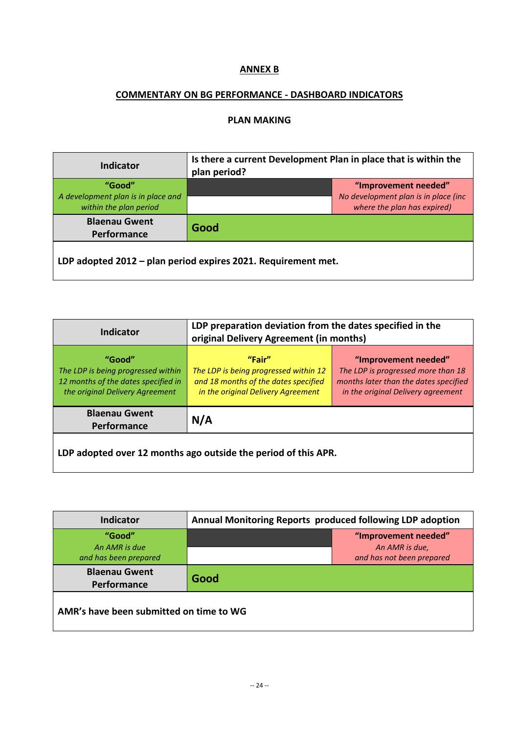## **ANNEX B**

## **COMMENTARY ON BG PERFORMANCE - DASHBOARD INDICATORS**

### **PLAN MAKING**

| <b>Indicator</b>                                              | Is there a current Development Plan in place that is within the<br>plan period? |                                                                     |  |
|---------------------------------------------------------------|---------------------------------------------------------------------------------|---------------------------------------------------------------------|--|
| "Good"                                                        |                                                                                 | "Improvement needed"                                                |  |
| A development plan is in place and<br>within the plan period  |                                                                                 | No development plan is in place (inc<br>where the plan has expired) |  |
| <b>Blaenau Gwent</b><br>Performance                           | Good                                                                            |                                                                     |  |
| LDP adopted 2012 - plan period expires 2021. Requirement met. |                                                                                 |                                                                     |  |

| <b>Indicator</b>                                                                                                       | LDP preparation deviation from the dates specified in the<br>original Delivery Agreement (in months)                          |                                                                                                                                           |  |  |
|------------------------------------------------------------------------------------------------------------------------|-------------------------------------------------------------------------------------------------------------------------------|-------------------------------------------------------------------------------------------------------------------------------------------|--|--|
| "Good"<br>The LDP is being progressed within<br>12 months of the dates specified in<br>the original Delivery Agreement | "Fair"<br>The LDP is being progressed within 12<br>and 18 months of the dates specified<br>in the original Delivery Agreement | "Improvement needed"<br>The LDP is progressed more than 18<br>months later than the dates specified<br>in the original Delivery agreement |  |  |
| <b>Blaenau Gwent</b><br>Performance                                                                                    | N/A                                                                                                                           |                                                                                                                                           |  |  |
| LDP adopted over 12 months ago outside the period of this APR.                                                         |                                                                                                                               |                                                                                                                                           |  |  |

| <b>Indicator</b>                                 | Annual Monitoring Reports produced following LDP adoption |                                                                     |  |  |
|--------------------------------------------------|-----------------------------------------------------------|---------------------------------------------------------------------|--|--|
| "Good"<br>An AMR is due<br>and has been prepared |                                                           | "Improvement needed"<br>An AMR is due,<br>and has not been prepared |  |  |
| <b>Blaenau Gwent</b><br>Performance              | Good                                                      |                                                                     |  |  |
| AMR's have been submitted on time to WG          |                                                           |                                                                     |  |  |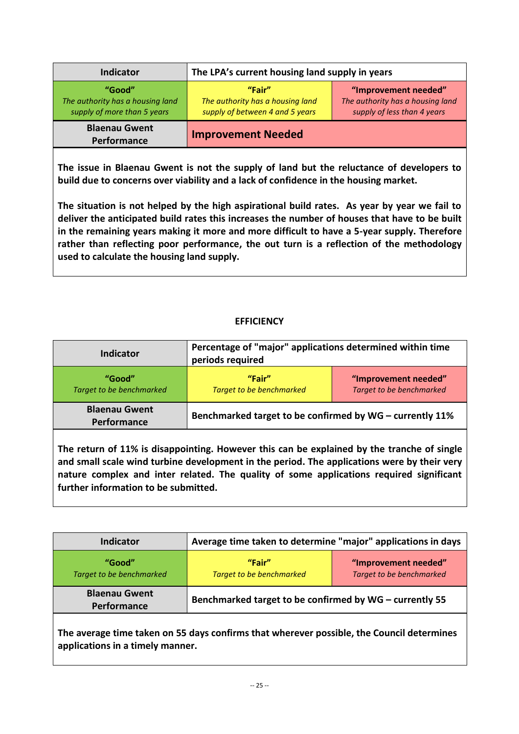| <b>Indicator</b>                                                          | The LPA's current housing land supply in years                                |                                                                                         |  |  |  |
|---------------------------------------------------------------------------|-------------------------------------------------------------------------------|-----------------------------------------------------------------------------------------|--|--|--|
| "Good"<br>The authority has a housing land<br>supply of more than 5 years | "Fair"<br>The authority has a housing land<br>supply of between 4 and 5 years | "Improvement needed"<br>The authority has a housing land<br>supply of less than 4 years |  |  |  |
| <b>Blaenau Gwent</b><br>Performance                                       | <b>Improvement Needed</b>                                                     |                                                                                         |  |  |  |

**The issue in Blaenau Gwent is not the supply of land but the reluctance of developers to build due to concerns over viability and a lack of confidence in the housing market.** 

**The situation is not helped by the high aspirational build rates. As year by year we fail to deliver the anticipated build rates this increases the number of houses that have to be built in the remaining years making it more and more difficult to have a 5-year supply. Therefore rather than reflecting poor performance, the out turn is a reflection of the methodology used to calculate the housing land supply.**

## **EFFICIENCY**

| Indicator                           | Percentage of "major" applications determined within time<br>periods required |                                                  |
|-------------------------------------|-------------------------------------------------------------------------------|--------------------------------------------------|
| "Good"<br>Target to be benchmarked  | "Fair"<br><b>Target to be benchmarked</b>                                     | "Improvement needed"<br>Target to be benchmarked |
| <b>Blaenau Gwent</b><br>Performance | Benchmarked target to be confirmed by WG - currently 11%                      |                                                  |

**The return of 11% is disappointing. However this can be explained by the tranche of single and small scale wind turbine development in the period. The applications were by their very nature complex and inter related. The quality of some applications required significant further information to be submitted.** 

| Indicator                           | Average time taken to determine "major" applications in days |                                                  |
|-------------------------------------|--------------------------------------------------------------|--------------------------------------------------|
| "Good"<br>Target to be benchmarked  | "Fair"<br><b>Target to be benchmarked</b>                    | "Improvement needed"<br>Target to be benchmarked |
| <b>Blaenau Gwent</b><br>Performance | Benchmarked target to be confirmed by WG - currently 55      |                                                  |

**The average time taken on 55 days confirms that wherever possible, the Council determines applications in a timely manner.**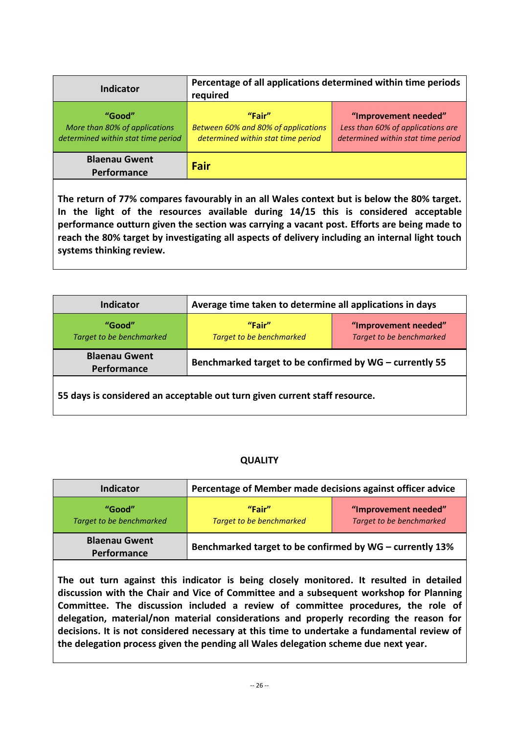| <b>Indicator</b>                                                              | Percentage of all applications determined within time periods<br>required           |                                                                                                 |
|-------------------------------------------------------------------------------|-------------------------------------------------------------------------------------|-------------------------------------------------------------------------------------------------|
| "Good"<br>More than 80% of applications<br>determined within stat time period | "Fair"<br>Between 60% and 80% of applications<br>determined within stat time period | "Improvement needed"<br>Less than 60% of applications are<br>determined within stat time period |
| <b>Blaenau Gwent</b><br>Performance                                           | Fair                                                                                |                                                                                                 |

**The return of 77% compares favourably in an all Wales context but is below the 80% target. In the light of the resources available during 14/15 this is considered acceptable performance outturn given the section was carrying a vacant post. Efforts are being made to reach the 80% target by investigating all aspects of delivery including an internal light touch systems thinking review.** 

| Indicator                           | Average time taken to determine all applications in days |                                                  |
|-------------------------------------|----------------------------------------------------------|--------------------------------------------------|
| "Good"<br>Target to be benchmarked  | "Fair"<br><b>Target to be benchmarked</b>                | "Improvement needed"<br>Target to be benchmarked |
| <b>Blaenau Gwent</b><br>Performance | Benchmarked target to be confirmed by WG - currently 55  |                                                  |

**55 days is considered an acceptable out turn given current staff resource.** 

# **QUALITY**

| <b>Indicator</b>                          | Percentage of Member made decisions against officer advice |                                                  |
|-------------------------------------------|------------------------------------------------------------|--------------------------------------------------|
| "Good"<br><b>Target to be benchmarked</b> | "Fair"<br>Target to be benchmarked                         | "Improvement needed"<br>Target to be benchmarked |
| <b>Blaenau Gwent</b><br>Performance       | Benchmarked target to be confirmed by WG - currently 13%   |                                                  |

**The out turn against this indicator is being closely monitored. It resulted in detailed discussion with the Chair and Vice of Committee and a subsequent workshop for Planning Committee. The discussion included a review of committee procedures, the role of delegation, material/non material considerations and properly recording the reason for decisions. It is not considered necessary at this time to undertake a fundamental review of the delegation process given the pending all Wales delegation scheme due next year.**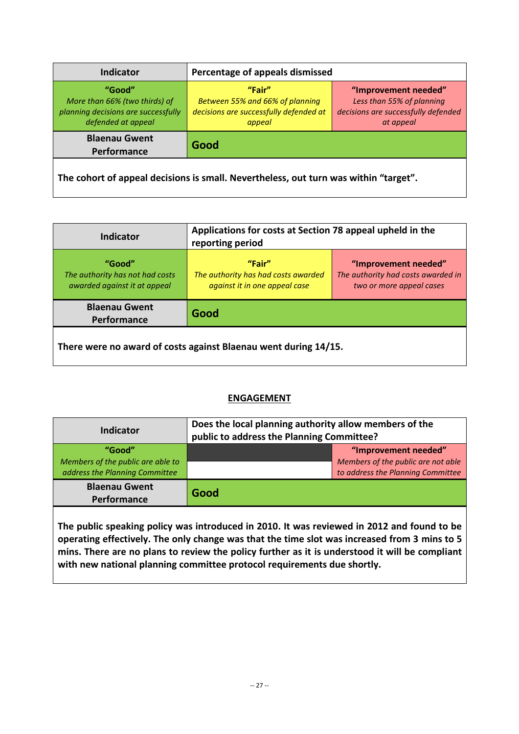| <b>Indicator</b>                                                                                     | Percentage of appeals dismissed                                                                                  |                                                                                                       |
|------------------------------------------------------------------------------------------------------|------------------------------------------------------------------------------------------------------------------|-------------------------------------------------------------------------------------------------------|
| "Good"<br>More than 66% (two thirds) of<br>planning decisions are successfully<br>defended at appeal | "Fair"<br>Between 55% and 66% of planning<br>decisions are successfully defended at<br>appeal                    | "Improvement needed"<br>Less than 55% of planning<br>decisions are successfully defended<br>at appeal |
| <b>Blaenau Gwent</b><br>Performance                                                                  | Good                                                                                                             |                                                                                                       |
|                                                                                                      | which can be a marked and a large-server of the start of the start of the start of the start of the start of the |                                                                                                       |

**The cohort of appeal decisions is small. Nevertheless, out turn was within "target".**

| <b>Indicator</b>                                                          | Applications for costs at Section 78 appeal upheld in the<br>reporting period  |                                                                                        |
|---------------------------------------------------------------------------|--------------------------------------------------------------------------------|----------------------------------------------------------------------------------------|
| "Good"<br>The authority has not had costs<br>awarded against it at appeal | "Fair"<br>The authority has had costs awarded<br>against it in one appeal case | "Improvement needed"<br>The authority had costs awarded in<br>two or more appeal cases |
| <b>Blaenau Gwent</b><br>Performance                                       | Good                                                                           |                                                                                        |
| There were no award of costs against Blaenau went during 14/15.           |                                                                                |                                                                                        |

# **ENGAGEMENT**

| Indicator                                                                     | Does the local planning authority allow members of the<br>public to address the Planning Committee? |                                                                                                 |
|-------------------------------------------------------------------------------|-----------------------------------------------------------------------------------------------------|-------------------------------------------------------------------------------------------------|
| "Good"<br>Members of the public are able to<br>address the Planning Committee |                                                                                                     | "Improvement needed"<br>Members of the public are not able<br>to address the Planning Committee |
| <b>Blaenau Gwent</b><br>Performance                                           | Good                                                                                                |                                                                                                 |

**The public speaking policy was introduced in 2010. It was reviewed in 2012 and found to be operating effectively. The only change was that the time slot was increased from 3 mins to 5 mins. There are no plans to review the policy further as it is understood it will be compliant with new national planning committee protocol requirements due shortly.**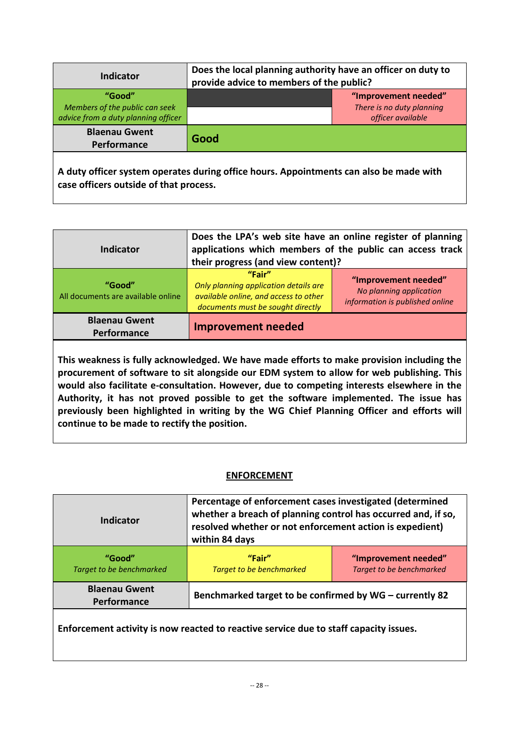| <b>Indicator</b>                                                                | Does the local planning authority have an officer on duty to<br>provide advice to members of the public? |  |
|---------------------------------------------------------------------------------|----------------------------------------------------------------------------------------------------------|--|
| "Good"<br>Members of the public can seek<br>advice from a duty planning officer | "Improvement needed"<br>There is no duty planning<br>officer available                                   |  |
| <b>Blaenau Gwent</b><br>Performance                                             | Good                                                                                                     |  |
| case officers outside of that process.                                          | A duty officer system operates during office hours. Appointments can also be made with                   |  |

| <b>Indicator</b>                             | Does the LPA's web site have an online register of planning<br>applications which members of the public can access track<br>their progress (and view content)? |                                                                                    |
|----------------------------------------------|----------------------------------------------------------------------------------------------------------------------------------------------------------------|------------------------------------------------------------------------------------|
| "Good"<br>All documents are available online | "Fair"<br>Only planning application details are<br>available online, and access to other<br>documents must be sought directly                                  | "Improvement needed"<br>No planning application<br>information is published online |
| <b>Blaenau Gwent</b><br>Performance          | <b>Improvement needed</b>                                                                                                                                      |                                                                                    |

**This weakness is fully acknowledged. We have made efforts to make provision including the procurement of software to sit alongside our EDM system to allow for web publishing. This would also facilitate e-consultation. However, due to competing interests elsewhere in the Authority, it has not proved possible to get the software implemented. The issue has previously been highlighted in writing by the WG Chief Planning Officer and efforts will continue to be made to rectify the position.**

## **ENFORCEMENT**

| Indicator                           | Percentage of enforcement cases investigated (determined<br>whether a breach of planning control has occurred and, if so,<br>resolved whether or not enforcement action is expedient)<br>within 84 days |                                                  |
|-------------------------------------|---------------------------------------------------------------------------------------------------------------------------------------------------------------------------------------------------------|--------------------------------------------------|
| "Good"<br>Target to be benchmarked  | "Fair"<br><b>Target to be benchmarked</b>                                                                                                                                                               | "Improvement needed"<br>Target to be benchmarked |
| <b>Blaenau Gwent</b><br>Performance | Benchmarked target to be confirmed by WG - currently 82                                                                                                                                                 |                                                  |
|                                     |                                                                                                                                                                                                         |                                                  |

**Enforcement activity is now reacted to reactive service due to staff capacity issues.**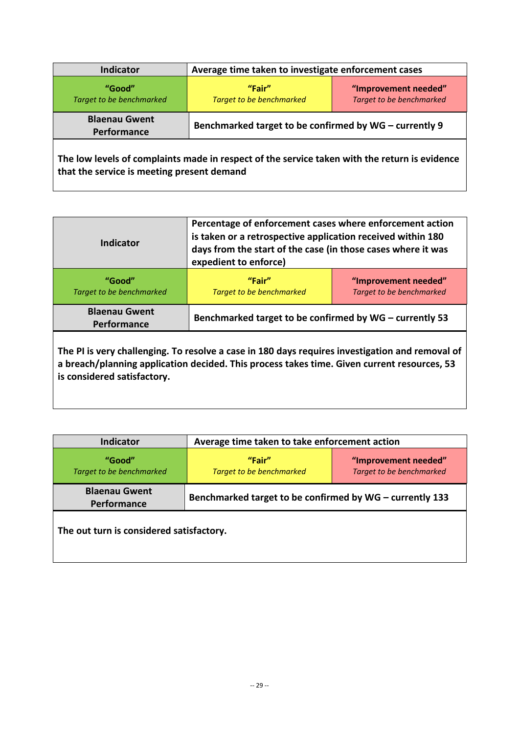| <b>Indicator</b>                           | Average time taken to investigate enforcement cases                                           |                                                  |
|--------------------------------------------|-----------------------------------------------------------------------------------------------|--------------------------------------------------|
| "Good"<br>Target to be benchmarked         | "Fair"<br><b>Target to be benchmarked</b>                                                     | "Improvement needed"<br>Target to be benchmarked |
| <b>Blaenau Gwent</b><br>Performance        | Benchmarked target to be confirmed by WG - currently 9                                        |                                                  |
| that the service is meeting present demand | The low levels of complaints made in respect of the service taken with the return is evidence |                                                  |

| Indicator                           | Percentage of enforcement cases where enforcement action<br>is taken or a retrospective application received within 180<br>days from the start of the case (in those cases where it was<br>expedient to enforce) |                                                  |
|-------------------------------------|------------------------------------------------------------------------------------------------------------------------------------------------------------------------------------------------------------------|--------------------------------------------------|
| "Good"<br>Target to be benchmarked  | "Fair"<br><b>Target to be benchmarked</b>                                                                                                                                                                        | "Improvement needed"<br>Target to be benchmarked |
| <b>Blaenau Gwent</b><br>Performance | Benchmarked target to be confirmed by WG - currently 53                                                                                                                                                          |                                                  |

**The PI is very challenging. To resolve a case in 180 days requires investigation and removal of a breach/planning application decided. This process takes time. Given current resources, 53 is considered satisfactory.**

| <b>Indicator</b>                         | Average time taken to take enforcement action            |                                                  |
|------------------------------------------|----------------------------------------------------------|--------------------------------------------------|
| "Good"<br>Target to be benchmarked       | "Fair"<br><b>Target to be benchmarked</b>                | "Improvement needed"<br>Target to be benchmarked |
| <b>Blaenau Gwent</b><br>Performance      | Benchmarked target to be confirmed by WG - currently 133 |                                                  |
| The out turn is considered satisfactory. |                                                          |                                                  |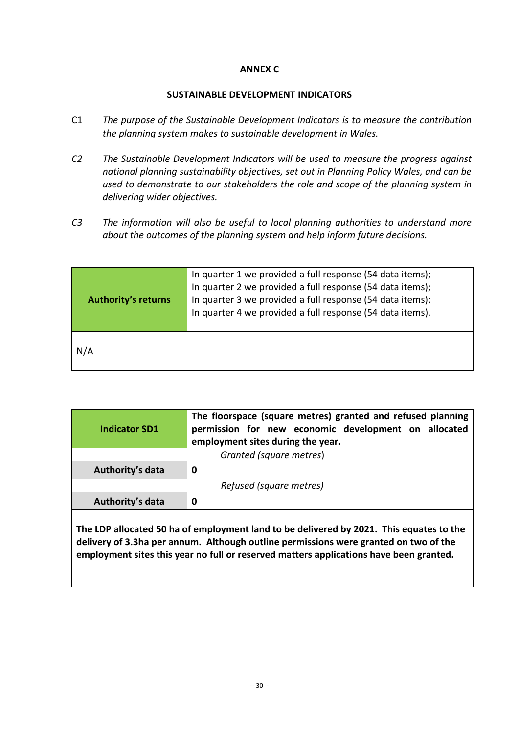#### **ANNEX C**

#### **SUSTAINABLE DEVELOPMENT INDICATORS**

- C1 *The purpose of the Sustainable Development Indicators is to measure the contribution the planning system makes to sustainable development in Wales.*
- *C2 The Sustainable Development Indicators will be used to measure the progress against national planning sustainability objectives, set out in Planning Policy Wales, and can be used to demonstrate to our stakeholders the role and scope of the planning system in delivering wider objectives.*
- *C3 The information will also be useful to local planning authorities to understand more about the outcomes of the planning system and help inform future decisions.*

| <b>Authority's returns</b> | In quarter 1 we provided a full response (54 data items);<br>In quarter 2 we provided a full response (54 data items);<br>In quarter 3 we provided a full response (54 data items);<br>In quarter 4 we provided a full response (54 data items). |
|----------------------------|--------------------------------------------------------------------------------------------------------------------------------------------------------------------------------------------------------------------------------------------------|
| N/A                        |                                                                                                                                                                                                                                                  |

| <b>Indicator SD1</b>                                                                    | The floorspace (square metres) granted and refused planning<br>permission for new economic development on allocated<br>employment sites during the year. |
|-----------------------------------------------------------------------------------------|----------------------------------------------------------------------------------------------------------------------------------------------------------|
| Granted (square metres)                                                                 |                                                                                                                                                          |
| Authority's data                                                                        | 0                                                                                                                                                        |
| Refused (square metres)                                                                 |                                                                                                                                                          |
| Authority's data                                                                        | 0                                                                                                                                                        |
| The LDP allocated 50 ha of employment land to be delivered by 2021. This equates to the |                                                                                                                                                          |

**The LDP allocated 50 ha of employment land to be delivered by 2021. This equates to the delivery of 3.3ha per annum. Although outline permissions were granted on two of the employment sites this year no full or reserved matters applications have been granted.**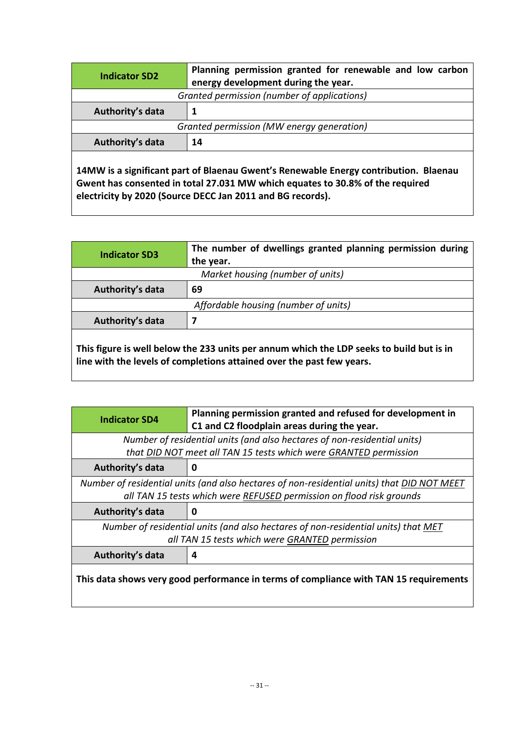| <b>Indicator SD2</b>                        | Planning permission granted for renewable and low carbon<br>energy development during the year. |  |
|---------------------------------------------|-------------------------------------------------------------------------------------------------|--|
| Granted permission (number of applications) |                                                                                                 |  |
| Authority's data                            |                                                                                                 |  |
| Granted permission (MW energy generation)   |                                                                                                 |  |
| Authority's data                            | 14                                                                                              |  |
|                                             |                                                                                                 |  |

**14MW is a significant part of Blaenau Gwent's Renewable Energy contribution. Blaenau Gwent has consented in total 27.031 MW which equates to 30.8% of the required electricity by 2020 (Source DECC Jan 2011 and BG records).**

| <b>Indicator SD3</b>                                                                                | The number of dwellings granted planning permission during<br>the year. |  |
|-----------------------------------------------------------------------------------------------------|-------------------------------------------------------------------------|--|
| Market housing (number of units)                                                                    |                                                                         |  |
| Authority's data                                                                                    | 69                                                                      |  |
| Affordable housing (number of units)                                                                |                                                                         |  |
| Authority's data                                                                                    |                                                                         |  |
| وبزوز غربط اوازررط وخوراوهم الماء وطغ وإمارات وسيوسو ومورمناتون فككر بمطرسها والمبرروز وسيونة وزواج |                                                                         |  |

**This figure is well below the 233 units per annum which the LDP seeks to build but is in line with the levels of completions attained over the past few years.**

| <b>Indicator SD4</b>                                                                       | Planning permission granted and refused for development in<br>C1 and C2 floodplain areas during the year. |  |
|--------------------------------------------------------------------------------------------|-----------------------------------------------------------------------------------------------------------|--|
| Number of residential units (and also hectares of non-residential units)                   |                                                                                                           |  |
|                                                                                            | that DID NOT meet all TAN 15 tests which were GRANTED permission                                          |  |
| Authority's data                                                                           | 0                                                                                                         |  |
| Number of residential units (and also hectares of non-residential units) that DID NOT MEET |                                                                                                           |  |
| all TAN 15 tests which were REFUSED permission on flood risk grounds                       |                                                                                                           |  |
| Authority's data                                                                           | 0                                                                                                         |  |
|                                                                                            |                                                                                                           |  |
|                                                                                            | Number of residential units (and also hectares of non-residential units) that MET                         |  |
|                                                                                            | all TAN 15 tests which were GRANTED permission                                                            |  |
| Authority's data                                                                           | 4                                                                                                         |  |